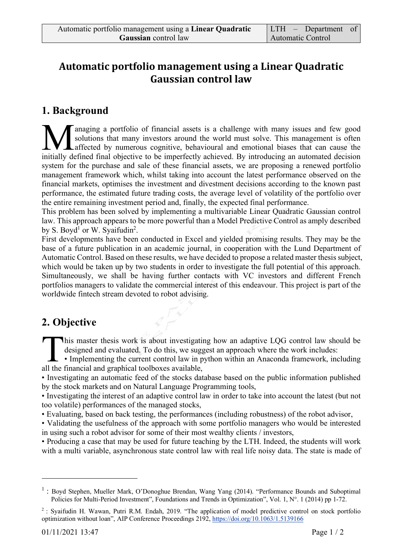## Automatic portfolio management using a Linear Quadratic **Gaussian control law**

#### **1. Background**

anaging a portfolio of financial assets is a challenge with many issues and few good solutions that many investors around the world must solve. This management is often affected by numerous cognitive, behavioural and emotional biases that can cause the **inceptually** a portfolio of financial assets is a challenge with many issues and few good solutions that many investors around the world must solve. This management is often affected by numerous cognitive, behavioural and system for the purchase and sale of these financial assets, we are proposing a renewed portfolio management framework which, whilst taking into account the latest performance observed on the financial markets, optimises the investment and divestment decisions according to the known past performance, the estimated future trading costs, the average level of volatility of the portfolio over the entire remaining investment period and, finally, the expected final performance.

This problem has been solved by implementing a multivariable Linear Quadratic Gaussian control law. This approach appears to be more powerful than a Model Predictive Control as amply described by S. Boyd<sup>1</sup> or W. Syaifudin<sup>2</sup>.

First developments have been conducted in Excel and yielded promising results. They may be the base of a future publication in an academic journal, in cooperation with the Lund Department of Automatic Control. Based on these results, we have decided to propose a related master thesis subject, which would be taken up by two students in order to investigate the full potential of this approach. Simultaneously, we shall be having further contacts with VC investors and different French portfolios managers to validate the commercial interest of this endeavour. This project is part of the worldwide fintech stream devoted to robot advising.

# **2. Objective**

his master thesis work is about investigating how an adaptive LQG control law should be designed and evaluated. To do this, we suggest an approach where the work includes:

**L** • Implementing the current control law in python within an Anaconda framework, including This master thesis work is about investigatidesigned and evaluated. To do this, we sugged . Implementing the current control law in pall the financial and graphical toolboxes available,

• Investigating an automatic feed of the stocks database based on the public information published by the stock markets and on Natural Language Programming tools,

• Investigating the interest of an adaptive control law in order to take into account the latest (but not too volatile) performances of the managed stocks,

• Evaluating, based on back testing, the performances (including robustness) of the robot advisor,

• Validating the usefulness of the approach with some portfolio managers who would be interested in using such a robot advisor for some of their most wealthy clients / investors,

• Producing a case that may be used for future teaching by the LTH. Indeed, the students will work with a multi variable, asynchronous state control law with real life noisy data. The state is made of

 $\overline{a}$ 

 $<sup>1</sup>$ : Boyd Stephen, Mueller Mark, O'Donoghue Brendan, Wang Yang (2014). "Performance Bounds and Suboptimal</sup> Policies for Multi-Period Investment", Foundations and Trends in Optimization", Vol. 1, N°. 1 (2014) pp 1-72.

<sup>2</sup> : Syaifudin H. Wawan, Putri R.M. Endah, 2019. "The application of model predictive control on stock portfolio optimization without loan", AIP Conference Proceedings 2192, https://doi.org/10.1063/1.5139166